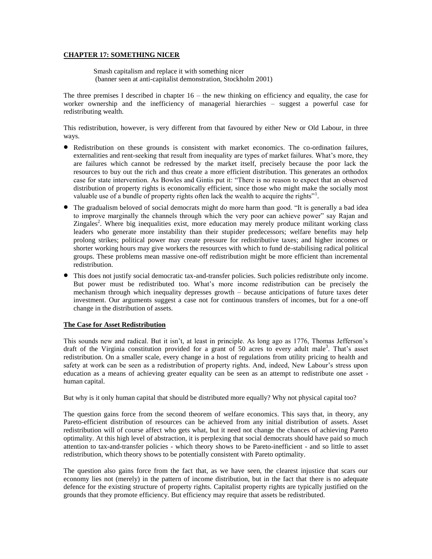## **CHAPTER 17: SOMETHING NICER**

Smash capitalism and replace it with something nicer (banner seen at anti-capitalist demonstration, Stockholm 2001)

The three premises I described in chapter  $16 -$  the new thinking on efficiency and equality, the case for worker ownership and the inefficiency of managerial hierarchies – suggest a powerful case for redistributing wealth.

This redistribution, however, is very different from that favoured by either New or Old Labour, in three ways.

- Redistribution on these grounds is consistent with market economics. The co-ordination failures, externalities and rent-seeking that result from inequality are types of market failures. What's more, they are failures which cannot be redressed by the market itself, precisely because the poor lack the resources to buy out the rich and thus create a more efficient distribution. This generates an orthodox case for state intervention. As Bowles and Gintis put it: "There is no reason to expect that an observed distribution of property rights is economically efficient, since those who might make the socially most valuable use of a bundle of property rights often lack the wealth to acquire the rights"<sup>1</sup>.
- The gradualism beloved of social democrats might do more harm than good. "It is generally a bad idea to improve marginally the channels through which the very poor can achieve power" say Rajan and Zingales<sup>2</sup>. Where big inequalities exist, more education may merely produce militant working class leaders who generate more instability than their stupider predecessors; welfare benefits may help prolong strikes; political power may create pressure for redistributive taxes; and higher incomes or shorter working hours may give workers the resources with which to fund de-stabilising radical political groups. These problems mean massive one-off redistribution might be more efficient than incremental redistribution.
- This does not justify social democratic tax-and-transfer policies. Such policies redistribute only income. But power must be redistributed too. What's more income redistribution can be precisely the mechanism through which inequality depresses growth – because anticipations of future taxes deter investment. Our arguments suggest a case not for continuous transfers of incomes, but for a one-off change in the distribution of assets.

### **The Case for Asset Redistribution**

This sounds new and radical. But it isn't, at least in principle. As long ago as 1776, Thomas Jefferson's draft of the Virginia constitution provided for a grant of 50 acres to every adult male<sup>3</sup>. That's asset redistribution. On a smaller scale, every change in a host of regulations from utility pricing to health and safety at work can be seen as a redistribution of property rights. And, indeed, New Labour's stress upon education as a means of achieving greater equality can be seen as an attempt to redistribute one asset human capital.

But why is it only human capital that should be distributed more equally? Why not physical capital too?

The question gains force from the second theorem of welfare economics. This says that, in theory, any Pareto-efficient distribution of resources can be achieved from any initial distribution of assets. Asset redistribution will of course affect who gets what, but it need not change the chances of achieving Pareto optimality. At this high level of abstraction, it is perplexing that social democrats should have paid so much attention to tax-and-transfer policies - which theory shows to be Pareto-inefficient - and so little to asset redistribution, which theory shows to be potentially consistent with Pareto optimality.

The question also gains force from the fact that, as we have seen, the clearest injustice that scars our economy lies not (merely) in the pattern of income distribution, but in the fact that there is no adequate defence for the existing structure of property rights. Capitalist property rights are typically justified on the grounds that they promote efficiency. But efficiency may require that assets be redistributed.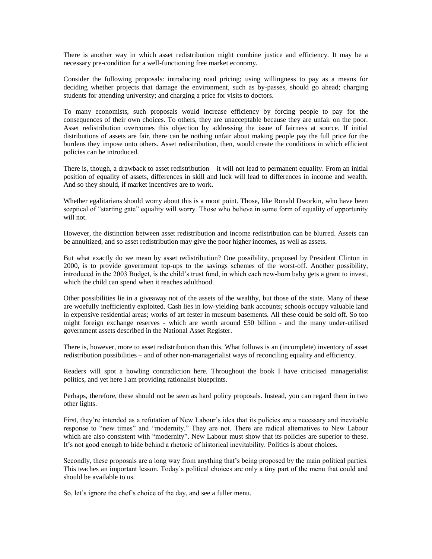There is another way in which asset redistribution might combine justice and efficiency. It may be a necessary pre-condition for a well-functioning free market economy.

Consider the following proposals: introducing road pricing; using willingness to pay as a means for deciding whether projects that damage the environment, such as by-passes, should go ahead; charging students for attending university; and charging a price for visits to doctors.

To many economists, such proposals would increase efficiency by forcing people to pay for the consequences of their own choices. To others, they are unacceptable because they are unfair on the poor. Asset redistribution overcomes this objection by addressing the issue of fairness at source. If initial distributions of assets are fair, there can be nothing unfair about making people pay the full price for the burdens they impose onto others. Asset redistribution, then, would create the conditions in which efficient policies can be introduced.

There is, though, a drawback to asset redistribution – it will not lead to permanent equality. From an initial position of equality of assets, differences in skill and luck will lead to differences in income and wealth. And so they should, if market incentives are to work.

Whether egalitarians should worry about this is a moot point. Those, like Ronald Dworkin, who have been sceptical of "starting gate" equality will worry. Those who believe in some form of equality of opportunity will not.

However, the distinction between asset redistribution and income redistribution can be blurred. Assets can be annuitized, and so asset redistribution may give the poor higher incomes, as well as assets.

But what exactly do we mean by asset redistribution? One possibility, proposed by President Clinton in 2000, is to provide government top-ups to the savings schemes of the worst-off. Another possibility, introduced in the 2003 Budget, is the child's trust fund, in which each new-born baby gets a grant to invest, which the child can spend when it reaches adulthood.

Other possibilities lie in a giveaway not of the assets of the wealthy, but those of the state. Many of these are woefully inefficiently exploited. Cash lies in low-yielding bank accounts; schools occupy valuable land in expensive residential areas; works of art fester in museum basements. All these could be sold off. So too might foreign exchange reserves - which are worth around £50 billion - and the many under-utilised government assets described in the National Asset Register.

There is, however, more to asset redistribution than this. What follows is an (incomplete) inventory of asset redistribution possibilities – and of other non-managerialist ways of reconciling equality and efficiency.

Readers will spot a howling contradiction here. Throughout the book I have criticised managerialist politics, and yet here I am providing rationalist blueprints.

Perhaps, therefore, these should not be seen as hard policy proposals. Instead, you can regard them in two other lights.

First, they're intended as a refutation of New Labour's idea that its policies are a necessary and inevitable response to "new times" and "modernity." They are not. There are radical alternatives to New Labour which are also consistent with "modernity". New Labour must show that its policies are superior to these. It's not good enough to hide behind a rhetoric of historical inevitability. Politics is about choices.

Secondly, these proposals are a long way from anything that's being proposed by the main political parties. This teaches an important lesson. Today's political choices are only a tiny part of the menu that could and should be available to us.

So, let's ignore the chef's choice of the day, and see a fuller menu.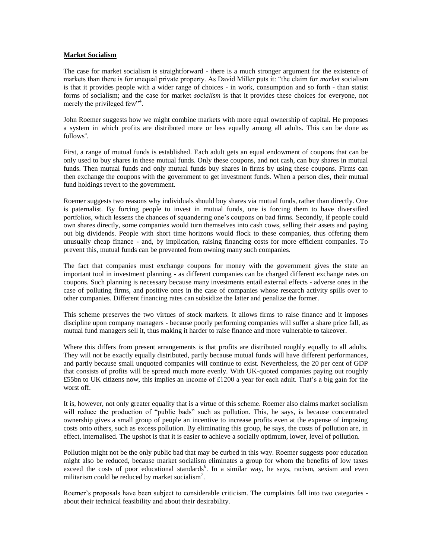### **Market Socialism**

The case for market socialism is straightforward - there is a much stronger argument for the existence of markets than there is for unequal private property. As David Miller puts it: "the claim for *market* socialism is that it provides people with a wider range of choices - in work, consumption and so forth - than statist forms of socialism; and the case for market *socialism* is that it provides these choices for everyone, not merely the privileged few<sup>14</sup>.

John Roemer suggests how we might combine markets with more equal ownership of capital. He proposes a system in which profits are distributed more or less equally among all adults. This can be done as  $follows^5$ .

First, a range of mutual funds is established. Each adult gets an equal endowment of coupons that can be only used to buy shares in these mutual funds. Only these coupons, and not cash, can buy shares in mutual funds. Then mutual funds and only mutual funds buy shares in firms by using these coupons. Firms can then exchange the coupons with the government to get investment funds. When a person dies, their mutual fund holdings revert to the government.

Roemer suggests two reasons why individuals should buy shares via mutual funds, rather than directly. One is paternalist. By forcing people to invest in mutual funds, one is forcing them to have diversified portfolios, which lessens the chances of squandering one's coupons on bad firms. Secondly, if people could own shares directly, some companies would turn themselves into cash cows, selling their assets and paying out big dividends. People with short time horizons would flock to these companies, thus offering them unusually cheap finance - and, by implication, raising financing costs for more efficient companies. To prevent this, mutual funds can be prevented from owning many such companies.

The fact that companies must exchange coupons for money with the government gives the state an important tool in investment planning - as different companies can be charged different exchange rates on coupons. Such planning is necessary because many investments entail external effects - adverse ones in the case of polluting firms, and positive ones in the case of companies whose research activity spills over to other companies. Different financing rates can subsidize the latter and penalize the former.

This scheme preserves the two virtues of stock markets. It allows firms to raise finance and it imposes discipline upon company managers - because poorly performing companies will suffer a share price fall, as mutual fund managers sell it, thus making it harder to raise finance and more vulnerable to takeover.

Where this differs from present arrangements is that profits are distributed roughly equally to all adults. They will not be exactly equally distributed, partly because mutual funds will have different performances, and partly because small unquoted companies will continue to exist. Nevertheless, the 20 per cent of GDP that consists of profits will be spread much more evenly. With UK-quoted companies paying out roughly £55bn to UK citizens now, this implies an income of £1200 a year for each adult. That's a big gain for the worst off.

It is, however, not only greater equality that is a virtue of this scheme. Roemer also claims market socialism will reduce the production of "public bads" such as pollution. This, he says, is because concentrated ownership gives a small group of people an incentive to increase profits even at the expense of imposing costs onto others, such as excess pollution. By eliminating this group, he says, the costs of pollution are, in effect, internalised. The upshot is that it is easier to achieve a socially optimum, lower, level of pollution.

Pollution might not be the only public bad that may be curbed in this way. Roemer suggests poor education might also be reduced, because market socialism eliminates a group for whom the benefits of low taxes exceed the costs of poor educational standards<sup>6</sup>. In a similar way, he says, racism, sexism and even militarism could be reduced by market socialism<sup>7</sup>.

Roemer's proposals have been subject to considerable criticism. The complaints fall into two categories about their technical feasibility and about their desirability.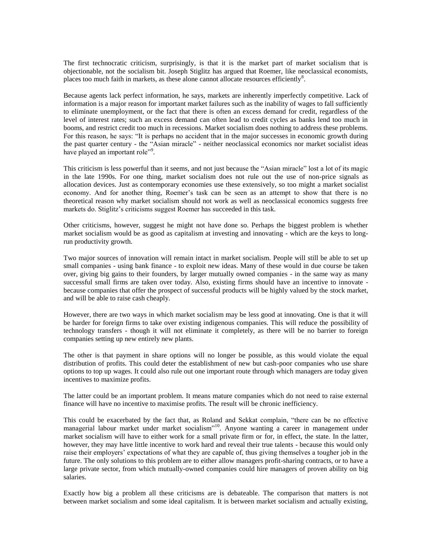The first technocratic criticism, surprisingly, is that it is the market part of market socialism that is objectionable, not the socialism bit. Joseph Stiglitz has argued that Roemer, like neoclassical economists, places too much faith in markets, as these alone cannot allocate resources efficiently<sup>8</sup>.

Because agents lack perfect information, he says, markets are inherently imperfectly competitive. Lack of information is a major reason for important market failures such as the inability of wages to fall sufficiently to eliminate unemployment, or the fact that there is often an excess demand for credit, regardless of the level of interest rates; such an excess demand can often lead to credit cycles as banks lend too much in booms, and restrict credit too much in recessions. Market socialism does nothing to address these problems. For this reason, he says: "It is perhaps no accident that in the major successes in economic growth during the past quarter century - the "Asian miracle" - neither neoclassical economics nor market socialist ideas have played an important role"<sup>9</sup>.

This criticism is less powerful than it seems, and not just because the "Asian miracle" lost a lot of its magic in the late 1990s. For one thing, market socialism does not rule out the use of non-price signals as allocation devices. Just as contemporary economies use these extensively, so too might a market socialist economy. And for another thing, Roemer's task can be seen as an attempt to show that there is no theoretical reason why market socialism should not work as well as neoclassical economics suggests free markets do. Stiglitz's criticisms suggest Roemer has succeeded in this task.

Other criticisms, however, suggest he might not have done so. Perhaps the biggest problem is whether market socialism would be as good as capitalism at investing and innovating - which are the keys to longrun productivity growth.

Two major sources of innovation will remain intact in market socialism. People will still be able to set up small companies - using bank finance - to exploit new ideas. Many of these would in due course be taken over, giving big gains to their founders, by larger mutually owned companies - in the same way as many successful small firms are taken over today. Also, existing firms should have an incentive to innovate because companies that offer the prospect of successful products will be highly valued by the stock market, and will be able to raise cash cheaply.

However, there are two ways in which market socialism may be less good at innovating. One is that it will be harder for foreign firms to take over existing indigenous companies. This will reduce the possibility of technology transfers - though it will not eliminate it completely, as there will be no barrier to foreign companies setting up new entirely new plants.

The other is that payment in share options will no longer be possible, as this would violate the equal distribution of profits. This could deter the establishment of new but cash-poor companies who use share options to top up wages. It could also rule out one important route through which managers are today given incentives to maximize profits.

The latter could be an important problem. It means mature companies which do not need to raise external finance will have no incentive to maximise profits. The result will be chronic inefficiency.

This could be exacerbated by the fact that, as Roland and Sekkat complain, "there can be no effective managerial labour market under market socialism"<sup>10</sup>. Anyone wanting a career in management under market socialism will have to either work for a small private firm or for, in effect, the state. In the latter, however, they may have little incentive to work hard and reveal their true talents - because this would only raise their employers' expectations of what they are capable of, thus giving themselves a tougher job in the future. The only solutions to this problem are to either allow managers profit-sharing contracts, or to have a large private sector, from which mutually-owned companies could hire managers of proven ability on big salaries.

Exactly how big a problem all these criticisms are is debateable. The comparison that matters is not between market socialism and some ideal capitalism. It is between market socialism and actually existing,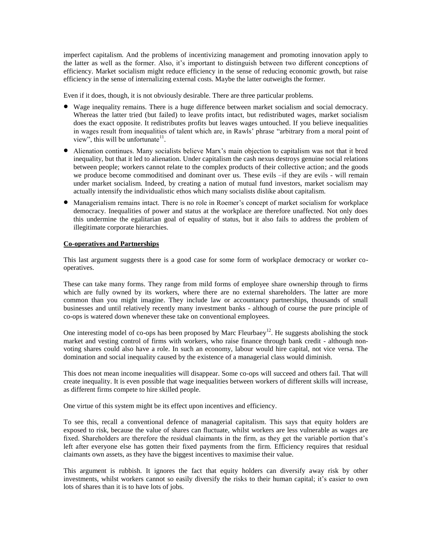imperfect capitalism. And the problems of incentivizing management and promoting innovation apply to the latter as well as the former. Also, it's important to distinguish between two different conceptions of efficiency. Market socialism might reduce efficiency in the sense of reducing economic growth, but raise efficiency in the sense of internalizing external costs. Maybe the latter outweighs the former.

Even if it does, though, it is not obviously desirable. There are three particular problems.

- Wage inequality remains. There is a huge difference between market socialism and social democracy. Whereas the latter tried (but failed) to leave profits intact, but redistributed wages, market socialism does the exact opposite. It redistributes profits but leaves wages untouched. If you believe inequalities in wages result from inequalities of talent which are, in Rawls' phrase "arbitrary from a moral point of view", this will be unfortunate<sup>11</sup>.
- Alienation continues. Many socialists believe Marx's main objection to capitalism was not that it bred inequality, but that it led to alienation. Under capitalism the cash nexus destroys genuine social relations between people; workers cannot relate to the complex products of their collective action; and the goods we produce become commoditised and dominant over us. These evils –if they are evils - will remain under market socialism. Indeed, by creating a nation of mutual fund investors, market socialism may actually intensify the individualistic ethos which many socialists dislike about capitalism.
- Managerialism remains intact. There is no role in Roemer's concept of market socialism for workplace democracy. Inequalities of power and status at the workplace are therefore unaffected. Not only does this undermine the egalitarian goal of equality of status, but it also fails to address the problem of illegitimate corporate hierarchies.

## **Co-operatives and Partnerships**

This last argument suggests there is a good case for some form of workplace democracy or worker cooperatives.

These can take many forms. They range from mild forms of employee share ownership through to firms which are fully owned by its workers, where there are no external shareholders. The latter are more common than you might imagine. They include law or accountancy partnerships, thousands of small businesses and until relatively recently many investment banks - although of course the pure principle of co-ops is watered down whenever these take on conventional employees.

One interesting model of co-ops has been proposed by Marc Fleurbaey<sup>12</sup>. He suggests abolishing the stock market and vesting control of firms with workers, who raise finance through bank credit - although nonvoting shares could also have a role. In such an economy, labour would hire capital, not vice versa. The domination and social inequality caused by the existence of a managerial class would diminish.

This does not mean income inequalities will disappear. Some co-ops will succeed and others fail. That will create inequality. It is even possible that wage inequalities between workers of different skills will increase, as different firms compete to hire skilled people.

One virtue of this system might be its effect upon incentives and efficiency.

To see this, recall a conventional defence of managerial capitalism. This says that equity holders are exposed to risk, because the value of shares can fluctuate, whilst workers are less vulnerable as wages are fixed. Shareholders are therefore the residual claimants in the firm, as they get the variable portion that's left after everyone else has gotten their fixed payments from the firm. Efficiency requires that residual claimants own assets, as they have the biggest incentives to maximise their value.

This argument is rubbish. It ignores the fact that equity holders can diversify away risk by other investments, whilst workers cannot so easily diversify the risks to their human capital; it's easier to own lots of shares than it is to have lots of jobs.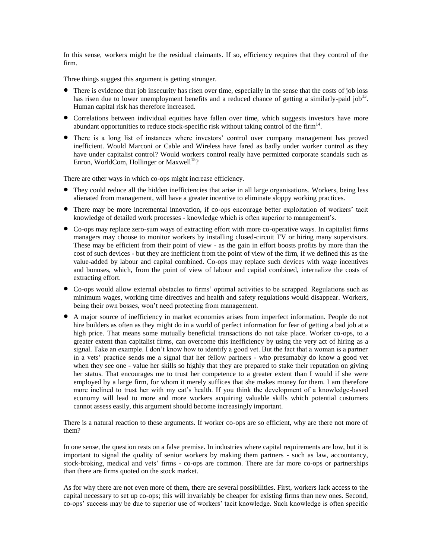In this sense, workers might be the residual claimants. If so, efficiency requires that they control of the firm.

Three things suggest this argument is getting stronger.

- There is evidence that job insecurity has risen over time, especially in the sense that the costs of job loss has risen due to lower unemployment benefits and a reduced chance of getting a similarly-paid job<sup>13</sup>. Human capital risk has therefore increased.
- Correlations between individual equities have fallen over time, which suggests investors have more abundant opportunities to reduce stock-specific risk without taking control of the firm $14$ .
- There is a long list of instances where investors' control over company management has proved inefficient. Would Marconi or Cable and Wireless have fared as badly under worker control as they have under capitalist control? Would workers control really have permitted corporate scandals such as Enron, WorldCom, Hollinger or Maxwell<sup>15</sup>?

There are other ways in which co-ops might increase efficiency.

- They could reduce all the hidden inefficiencies that arise in all large organisations. Workers, being less alienated from management, will have a greater incentive to eliminate sloppy working practices.
- There may be more incremental innovation, if co-ops encourage better exploitation of workers' tacit knowledge of detailed work processes - knowledge which is often superior to management's.
- Co-ops may replace zero-sum ways of extracting effort with more co-operative ways. In capitalist firms managers may choose to monitor workers by installing closed-circuit TV or hiring many supervisors. These may be efficient from their point of view - as the gain in effort boosts profits by more than the cost of such devices - but they are inefficient from the point of view of the firm, if we defined this as the value-added by labour and capital combined. Co-ops may replace such devices with wage incentives and bonuses, which, from the point of view of labour and capital combined, internalize the costs of extracting effort.
- Co-ops would allow external obstacles to firms' optimal activities to be scrapped. Regulations such as minimum wages, working time directives and health and safety regulations would disappear. Workers, being their own bosses, won't need protecting from management.
- A major source of inefficiency in market economies arises from imperfect information. People do not hire builders as often as they might do in a world of perfect information for fear of getting a bad job at a high price. That means some mutually beneficial transactions do not take place. Worker co-ops, to a greater extent than capitalist firms, can overcome this inefficiency by using the very act of hiring as a signal. Take an example. I don't know how to identify a good vet. But the fact that a woman is a partner in a vets' practice sends me a signal that her fellow partners - who presumably do know a good vet when they see one - value her skills so highly that they are prepared to stake their reputation on giving her status. That encourages me to trust her competence to a greater extent than I would if she were employed by a large firm, for whom it merely suffices that she makes money for them. I am therefore more inclined to trust her with my cat's health. If you think the development of a knowledge-based economy will lead to more and more workers acquiring valuable skills which potential customers cannot assess easily, this argument should become increasingly important.

There is a natural reaction to these arguments. If worker co-ops are so efficient, why are there not more of them?

In one sense, the question rests on a false premise. In industries where capital requirements are low, but it is important to signal the quality of senior workers by making them partners - such as law, accountancy, stock-broking, medical and vets' firms - co-ops are common. There are far more co-ops or partnerships than there are firms quoted on the stock market.

As for why there are not even more of them, there are several possibilities. First, workers lack access to the capital necessary to set up co-ops; this will invariably be cheaper for existing firms than new ones. Second, co-ops' success may be due to superior use of workers' tacit knowledge. Such knowledge is often specific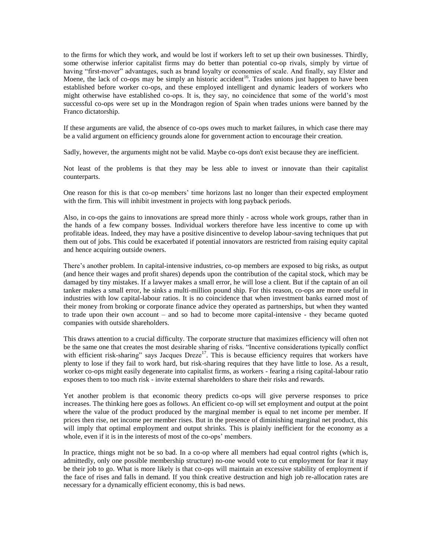to the firms for which they work, and would be lost if workers left to set up their own businesses. Thirdly, some otherwise inferior capitalist firms may do better than potential co-op rivals, simply by virtue of having "first-mover" advantages, such as brand loyalty or economies of scale. And finally, say Elster and Moene, the lack of co-ops may be simply an historic accident<sup>16</sup>. Trades unions just happen to have been established before worker co-ops, and these employed intelligent and dynamic leaders of workers who might otherwise have established co-ops. It is, they say, no coincidence that some of the world's most successful co-ops were set up in the Mondragon region of Spain when trades unions were banned by the Franco dictatorship.

If these arguments are valid, the absence of co-ops owes much to market failures, in which case there may be a valid argument on efficiency grounds alone for government action to encourage their creation.

Sadly, however, the arguments might not be valid. Maybe co-ops don't exist because they are inefficient.

Not least of the problems is that they may be less able to invest or innovate than their capitalist counterparts.

One reason for this is that co-op members' time horizons last no longer than their expected employment with the firm. This will inhibit investment in projects with long payback periods.

Also, in co-ops the gains to innovations are spread more thinly - across whole work groups, rather than in the hands of a few company bosses. Individual workers therefore have less incentive to come up with profitable ideas. Indeed, they may have a positive disincentive to develop labour-saving techniques that put them out of jobs. This could be exacerbated if potential innovators are restricted from raising equity capital and hence acquiring outside owners.

There's another problem. In capital-intensive industries, co-op members are exposed to big risks, as output (and hence their wages and profit shares) depends upon the contribution of the capital stock, which may be damaged by tiny mistakes. If a lawyer makes a small error, he will lose a client. But if the captain of an oil tanker makes a small error, he sinks a multi-million pound ship. For this reason, co-ops are more useful in industries with low capital-labour ratios. It is no coincidence that when investment banks earned most of their money from broking or corporate finance advice they operated as partnerships, but when they wanted to trade upon their own account – and so had to become more capital-intensive - they became quoted companies with outside shareholders.

This draws attention to a crucial difficulty. The corporate structure that maximizes efficiency will often not be the same one that creates the most desirable sharing of risks. "Incentive considerations typically conflict with efficient risk-sharing" says Jacques Dreze<sup>17</sup>. This is because efficiency requires that workers have plenty to lose if they fail to work hard, but risk-sharing requires that they have little to lose. As a result, worker co-ops might easily degenerate into capitalist firms, as workers - fearing a rising capital-labour ratio exposes them to too much risk - invite external shareholders to share their risks and rewards.

Yet another problem is that economic theory predicts co-ops will give perverse responses to price increases. The thinking here goes as follows. An efficient co-op will set employment and output at the point where the value of the product produced by the marginal member is equal to net income per member. If prices then rise, net income per member rises. But in the presence of diminishing marginal net product, this will imply that optimal employment and output shrinks. This is plainly inefficient for the economy as a whole, even if it is in the interests of most of the co-ops' members.

In practice, things might not be so bad. In a co-op where all members had equal control rights (which is, admittedly, only one possible membership structure) no-one would vote to cut employment for fear it may be their job to go. What is more likely is that co-ops will maintain an excessive stability of employment if the face of rises and falls in demand. If you think creative destruction and high job re-allocation rates are necessary for a dynamically efficient economy, this is bad news.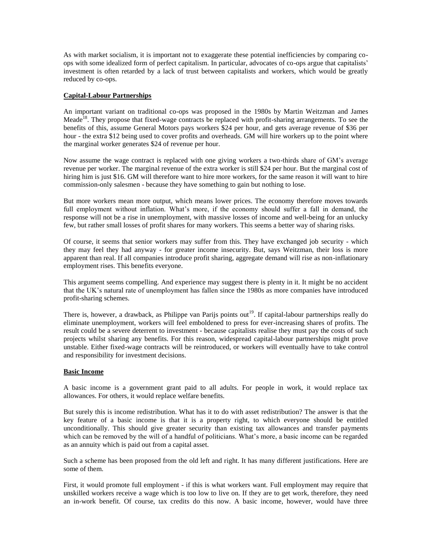As with market socialism, it is important not to exaggerate these potential inefficiencies by comparing coops with some idealized form of perfect capitalism. In particular, advocates of co-ops argue that capitalists' investment is often retarded by a lack of trust between capitalists and workers, which would be greatly reduced by co-ops.

## **Capital-Labour Partnerships**

An important variant on traditional co-ops was proposed in the 1980s by Martin Weitzman and James Meade<sup>18</sup>. They propose that fixed-wage contracts be replaced with profit-sharing arrangements. To see the benefits of this, assume General Motors pays workers \$24 per hour, and gets average revenue of \$36 per hour - the extra \$12 being used to cover profits and overheads. GM will hire workers up to the point where the marginal worker generates \$24 of revenue per hour.

Now assume the wage contract is replaced with one giving workers a two-thirds share of GM's average revenue per worker. The marginal revenue of the extra worker is still \$24 per hour. But the marginal cost of hiring him is just \$16. GM will therefore want to hire more workers, for the same reason it will want to hire commission-only salesmen - because they have something to gain but nothing to lose.

But more workers mean more output, which means lower prices. The economy therefore moves towards full employment without inflation. What's more, if the economy should suffer a fall in demand, the response will not be a rise in unemployment, with massive losses of income and well-being for an unlucky few, but rather small losses of profit shares for many workers. This seems a better way of sharing risks.

Of course, it seems that senior workers may suffer from this. They have exchanged job security - which they may feel they had anyway - for greater income insecurity. But, says Weitzman, their loss is more apparent than real. If all companies introduce profit sharing, aggregate demand will rise as non-inflationary employment rises. This benefits everyone.

This argument seems compelling. And experience may suggest there is plenty in it. It might be no accident that the UK's natural rate of unemployment has fallen since the 1980s as more companies have introduced profit-sharing schemes.

There is, however, a drawback, as Philippe van Parijs points out<sup>19</sup>. If capital-labour partnerships really do eliminate unemployment, workers will feel emboldened to press for ever-increasing shares of profits. The result could be a severe deterrent to investment - because capitalists realise they must pay the costs of such projects whilst sharing any benefits. For this reason, widespread capital-labour partnerships might prove unstable. Either fixed-wage contracts will be reintroduced, or workers will eventually have to take control and responsibility for investment decisions.

### **Basic Income**

A basic income is a government grant paid to all adults. For people in work, it would replace tax allowances. For others, it would replace welfare benefits.

But surely this is income redistribution. What has it to do with asset redistribution? The answer is that the key feature of a basic income is that it is a property right, to which everyone should be entitled unconditionally. This should give greater security than existing tax allowances and transfer payments which can be removed by the will of a handful of politicians. What's more, a basic income can be regarded as an annuity which is paid out from a capital asset.

Such a scheme has been proposed from the old left and right. It has many different justifications. Here are some of them.

First, it would promote full employment - if this is what workers want. Full employment may require that unskilled workers receive a wage which is too low to live on. If they are to get work, therefore, they need an in-work benefit. Of course, tax credits do this now. A basic income, however, would have three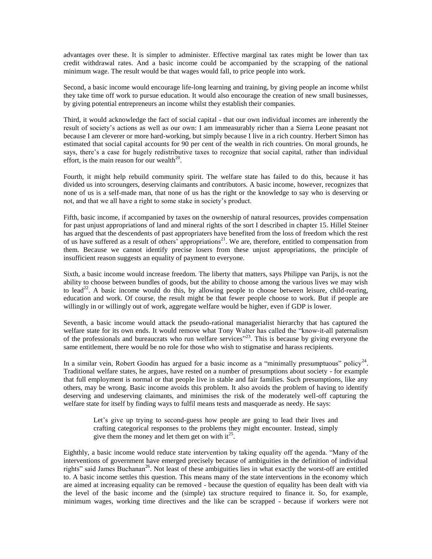advantages over these. It is simpler to administer. Effective marginal tax rates might be lower than tax credit withdrawal rates. And a basic income could be accompanied by the scrapping of the national minimum wage. The result would be that wages would fall, to price people into work.

Second, a basic income would encourage life-long learning and training, by giving people an income whilst they take time off work to pursue education. It would also encourage the creation of new small businesses, by giving potential entrepreneurs an income whilst they establish their companies.

Third, it would acknowledge the fact of social capital - that our own individual incomes are inherently the result of society's actions as well as our own: I am immeasurably richer than a Sierra Leone peasant not because I am cleverer or more hard-working, but simply because I live in a rich country. Herbert Simon has estimated that social capital accounts for 90 per cent of the wealth in rich countries. On moral grounds, he says, there's a case for hugely redistributive taxes to recognize that social capital, rather than individual effort, is the main reason for our wealth<sup>20</sup>.

Fourth, it might help rebuild community spirit. The welfare state has failed to do this, because it has divided us into scroungers, deserving claimants and contributors. A basic income, however, recognizes that none of us is a self-made man, that none of us has the right or the knowledge to say who is deserving or not, and that we all have a right to some stake in society's product.

Fifth, basic income, if accompanied by taxes on the ownership of natural resources, provides compensation for past unjust appropriations of land and mineral rights of the sort I described in chapter 15. Hillel Steiner has argued that the descendents of past appropriaters have benefited from the loss of freedom which the rest of us have suffered as a result of others' appropriations<sup>21</sup>. We are, therefore, entitled to compensation from them. Because we cannot identify precise losers from these unjust appropriations, the principle of insufficient reason suggests an equality of payment to everyone.

Sixth, a basic income would increase freedom. The liberty that matters, says Philippe van Parijs, is not the ability to choose between bundles of goods, but the ability to choose among the various lives we may wish to lead<sup>22</sup>. A basic income would do this, by allowing people to choose between leisure, child-rearing, education and work. Of course, the result might be that fewer people choose to work. But if people are willingly in or willingly out of work, aggregate welfare would be higher, even if GDP is lower.

Seventh, a basic income would attack the pseudo-rational managerialist hierarchy that has captured the welfare state for its own ends. It would remove what Tony Walter has called the "know-it-all paternalism of the professionals and bureaucrats who run welfare services"<sup>23</sup>. This is because by giving everyone the same entitlement, there would be no role for those who wish to stigmatise and harass recipients.

In a similar vein, Robert Goodin has argued for a basic income as a "minimally presumptuous" policy<sup>24</sup>. Traditional welfare states, he argues, have rested on a number of presumptions about society - for example that full employment is normal or that people live in stable and fair families. Such presumptions, like any others, may be wrong. Basic income avoids this problem. It also avoids the problem of having to identify deserving and undeserving claimants, and minimises the risk of the moderately well-off capturing the welfare state for itself by finding ways to fulfil means tests and masquerade as needy. He says:

Let's give up trying to second-guess how people are going to lead their lives and crafting categorical responses to the problems they might encounter. Instead, simply give them the money and let them get on with it<sup>25</sup>.

Eighthly, a basic income would reduce state intervention by taking equality off the agenda. "Many of the interventions of government have emerged precisely because of ambiguities in the definition of individual rights" said James Buchanan<sup>26</sup>. Not least of these ambiguities lies in what exactly the worst-off are entitled to. A basic income settles this question. This means many of the state interventions in the economy which are aimed at increasing equality can be removed - because the question of equality has been dealt with via the level of the basic income and the (simple) tax structure required to finance it. So, for example, minimum wages, working time directives and the like can be scrapped - because if workers were not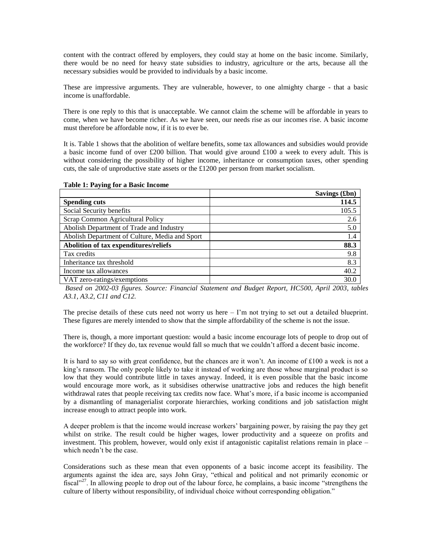content with the contract offered by employers, they could stay at home on the basic income. Similarly, there would be no need for heavy state subsidies to industry, agriculture or the arts, because all the necessary subsidies would be provided to individuals by a basic income.

These are impressive arguments. They are vulnerable, however, to one almighty charge - that a basic income is unaffordable.

There is one reply to this that is unacceptable. We cannot claim the scheme will be affordable in years to come, when we have become richer. As we have seen, our needs rise as our incomes rise. A basic income must therefore be affordable now, if it is to ever be.

It is. Table 1 shows that the abolition of welfare benefits, some tax allowances and subsidies would provide a basic income fund of over £200 billion. That would give around £100 a week to every adult. This is without considering the possibility of higher income, inheritance or consumption taxes, other spending cuts, the sale of unproductive state assets or the £1200 per person from market socialism.

|                                                | Savings (£bn) |
|------------------------------------------------|---------------|
| <b>Spending cuts</b>                           | 114.5         |
| Social Security benefits                       | 105.5         |
| Scrap Common Agricultural Policy               | 2.6           |
| Abolish Department of Trade and Industry       | 5.0           |
| Abolish Department of Culture, Media and Sport | 1.4           |
| Abolition of tax expenditures/reliefs          | 88.3          |
| Tax credits                                    | 9.8           |
| Inheritance tax threshold                      | 8.3           |
| Income tax allowances                          | 40.2          |
| VAT zero-ratings/exemptions                    | 30.0          |

**Table 1: Paying for a Basic Income**

*Based on 2002-03 figures. Source: Financial Statement and Budget Report, HC500, April 2003, tables A3.1, A3.2, C11 and C12.*

The precise details of these cuts need not worry us here  $-1$ 'm not trying to set out a detailed blueprint. These figures are merely intended to show that the simple affordability of the scheme is not the issue.

There is, though, a more important question: would a basic income encourage lots of people to drop out of the workforce? If they do, tax revenue would fall so much that we couldn't afford a decent basic income.

It is hard to say so with great confidence, but the chances are it won't. An income of £100 a week is not a king's ransom. The only people likely to take it instead of working are those whose marginal product is so low that they would contribute little in taxes anyway. Indeed, it is even possible that the basic income would encourage more work, as it subsidises otherwise unattractive jobs and reduces the high benefit withdrawal rates that people receiving tax credits now face. What's more, if a basic income is accompanied by a dismantling of managerialist corporate hierarchies, working conditions and job satisfaction might increase enough to attract people into work.

A deeper problem is that the income would increase workers' bargaining power, by raising the pay they get whilst on strike. The result could be higher wages, lower productivity and a squeeze on profits and investment. This problem, however, would only exist if antagonistic capitalist relations remain in place – which needn't be the case.

Considerations such as these mean that even opponents of a basic income accept its feasibility. The arguments against the idea are, says John Gray, "ethical and political and not primarily economic or fiscal"<sup>27</sup>. In allowing people to drop out of the labour force, he complains, a basic income "strengthens the culture of liberty without responsibility, of individual choice without corresponding obligation."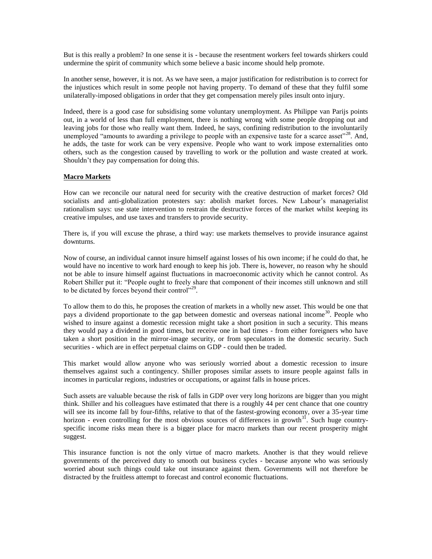But is this really a problem? In one sense it is - because the resentment workers feel towards shirkers could undermine the spirit of community which some believe a basic income should help promote.

In another sense, however, it is not. As we have seen, a major justification for redistribution is to correct for the injustices which result in some people not having property. To demand of these that they fulfil some unilaterally-imposed obligations in order that they get compensation merely piles insult onto injury.

Indeed, there is a good case for subsidising some voluntary unemployment. As Philippe van Parijs points out, in a world of less than full employment, there is nothing wrong with some people dropping out and leaving jobs for those who really want them. Indeed, he says, confining redistribution to the involuntarily unemployed "amounts to awarding a privilege to people with an expensive taste for a scarce asset"<sup>28</sup>. And, he adds, the taste for work can be very expensive. People who want to work impose externalities onto others, such as the congestion caused by travelling to work or the pollution and waste created at work. Shouldn't they pay compensation for doing this.

# **Macro Markets**

How can we reconcile our natural need for security with the creative destruction of market forces? Old socialists and anti-globalization protesters say: abolish market forces. New Labour's managerialist rationalism says: use state intervention to restrain the destructive forces of the market whilst keeping its creative impulses, and use taxes and transfers to provide security.

There is, if you will excuse the phrase, a third way: use markets themselves to provide insurance against downturns.

Now of course, an individual cannot insure himself against losses of his own income; if he could do that, he would have no incentive to work hard enough to keep his job. There is, however, no reason why he should not be able to insure himself against fluctuations in macroeconomic activity which he cannot control. As Robert Shiller put it: "People ought to freely share that component of their incomes still unknown and still to be dictated by forces beyond their control"<sup>29</sup>.

To allow them to do this, he proposes the creation of markets in a wholly new asset. This would be one that pays a dividend proportionate to the gap between domestic and overseas national income<sup>30</sup>. People who wished to insure against a domestic recession might take a short position in such a security. This means they would pay a dividend in good times, but receive one in bad times - from either foreigners who have taken a short position in the mirror-image security, or from speculators in the domestic security. Such securities - which are in effect perpetual claims on GDP - could then be traded.

This market would allow anyone who was seriously worried about a domestic recession to insure themselves against such a contingency. Shiller proposes similar assets to insure people against falls in incomes in particular regions, industries or occupations, or against falls in house prices.

Such assets are valuable because the risk of falls in GDP over very long horizons are bigger than you might think. Shiller and his colleagues have estimated that there is a roughly 44 per cent chance that one country will see its income fall by four-fifths, relative to that of the fastest-growing economy, over a 35-year time horizon - even controlling for the most obvious sources of differences in growth<sup>31</sup>. Such huge countryspecific income risks mean there is a bigger place for macro markets than our recent prosperity might suggest.

This insurance function is not the only virtue of macro markets. Another is that they would relieve governments of the perceived duty to smooth out business cycles - because anyone who was seriously worried about such things could take out insurance against them. Governments will not therefore be distracted by the fruitless attempt to forecast and control economic fluctuations.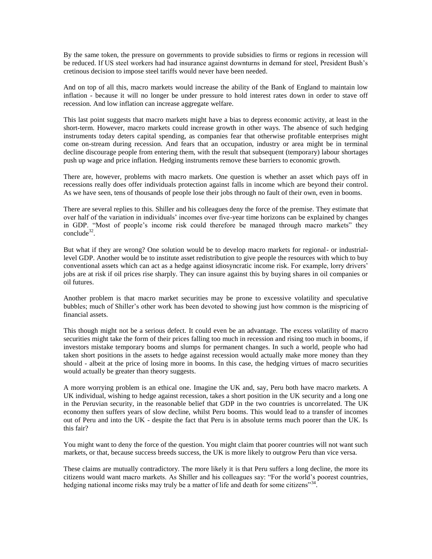By the same token, the pressure on governments to provide subsidies to firms or regions in recession will be reduced. If US steel workers had had insurance against downturns in demand for steel, President Bush's cretinous decision to impose steel tariffs would never have been needed.

And on top of all this, macro markets would increase the ability of the Bank of England to maintain low inflation - because it will no longer be under pressure to hold interest rates down in order to stave off recession. And low inflation can increase aggregate welfare.

This last point suggests that macro markets might have a bias to depress economic activity, at least in the short-term. However, macro markets could increase growth in other ways. The absence of such hedging instruments today deters capital spending, as companies fear that otherwise profitable enterprises might come on-stream during recession. And fears that an occupation, industry or area might be in terminal decline discourage people from entering them, with the result that subsequent (temporary) labour shortages push up wage and price inflation. Hedging instruments remove these barriers to economic growth.

There are, however, problems with macro markets. One question is whether an asset which pays off in recessions really does offer individuals protection against falls in income which are beyond their control. As we have seen, tens of thousands of people lose their jobs through no fault of their own, even in booms.

There are several replies to this. Shiller and his colleagues deny the force of the premise. They estimate that over half of the variation in individuals' incomes over five-year time horizons can be explained by changes in GDP. "Most of people's income risk could therefore be managed through macro markets" they conclude<sup>32</sup>.

But what if they are wrong? One solution would be to develop macro markets for regional- or industriallevel GDP. Another would be to institute asset redistribution to give people the resources with which to buy conventional assets which can act as a hedge against idiosyncratic income risk. For example, lorry drivers' jobs are at risk if oil prices rise sharply. They can insure against this by buying shares in oil companies or oil futures.

Another problem is that macro market securities may be prone to excessive volatility and speculative bubbles; much of Shiller's other work has been devoted to showing just how common is the mispricing of financial assets.

This though might not be a serious defect. It could even be an advantage. The excess volatility of macro securities might take the form of their prices falling too much in recession and rising too much in booms, if investors mistake temporary booms and slumps for permanent changes. In such a world, people who had taken short positions in the assets to hedge against recession would actually make more money than they should - albeit at the price of losing more in booms. In this case, the hedging virtues of macro securities would actually be greater than theory suggests.

A more worrying problem is an ethical one. Imagine the UK and, say, Peru both have macro markets. A UK individual, wishing to hedge against recession, takes a short position in the UK security and a long one in the Peruvian security, in the reasonable belief that GDP in the two countries is uncorrelated. The UK economy then suffers years of slow decline, whilst Peru booms. This would lead to a transfer of incomes out of Peru and into the UK - despite the fact that Peru is in absolute terms much poorer than the UK. Is this fair?

You might want to deny the force of the question. You might claim that poorer countries will not want such markets, or that, because success breeds success, the UK is more likely to outgrow Peru than vice versa.

These claims are mutually contradictory. The more likely it is that Peru suffers a long decline, the more its citizens would want macro markets. As Shiller and his colleagues say: "For the world's poorest countries, hedging national income risks may truly be a matter of life and death for some citizens"<sup>34</sup>.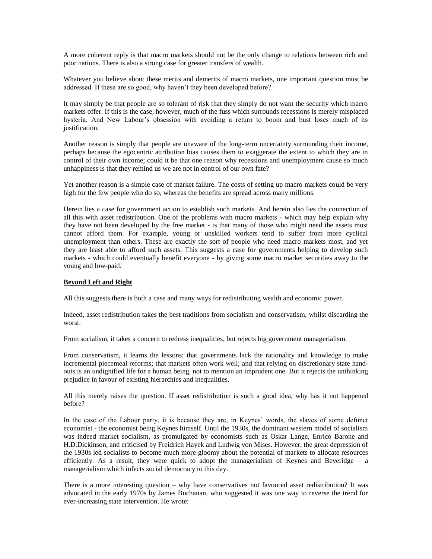A more coherent reply is that macro markets should not be the only change to relations between rich and poor nations. There is also a strong case for greater transfers of wealth.

Whatever you believe about these merits and demerits of macro markets, one important question must be addressed. If these are so good, why haven't they been developed before?

It may simply be that people are so tolerant of risk that they simply do not want the security which macro markets offer. If this is the case, however, much of the fuss which surrounds recessions is merely misplaced hysteria. And New Labour's obsession with avoiding a return to boom and bust loses much of its justification.

Another reason is simply that people are unaware of the long-term uncertainty surrounding their income, perhaps because the egocentric attribution bias causes them to exaggerate the extent to which they are in control of their own income; could it be that one reason why recessions and unemployment cause so much unhappiness is that they remind us we are not in control of our own fate?

Yet another reason is a simple case of market failure. The costs of setting up macro markets could be very high for the few people who do so, whereas the benefits are spread across many millions.

Herein lies a case for government action to establish such markets. And herein also lies the connection of all this with asset redistribution. One of the problems with macro markets - which may help explain why they have not been developed by the free market - is that many of those who might need the assets most cannot afford them. For example, young or unskilled workers tend to suffer from more cyclical unemployment than others. These are exactly the sort of people who need macro markets most, and yet they are least able to afford such assets. This suggests a case for governments helping to develop such markets - which could eventually benefit everyone - by giving some macro market securities away to the young and low-paid.

### **Beyond Left and Right**

All this suggests there is both a case and many ways for redistributing wealth and economic power.

Indeed, asset redistribution takes the best traditions from socialism and conservatism, whilst discarding the worst.

From socialism, it takes a concern to redress inequalities, but rejects big government managerialism.

From conservatism, it learns the lessons: that governments lack the rationality and knowledge to make incremental piecemeal reforms; that markets often work well; and that relying on discretionary state handouts is an undignified life for a human being, not to mention an imprudent one. But it rejects the unthinking prejudice in favour of existing hierarchies and inequalities.

All this merely raises the question. If asset redistribution is such a good idea, why has it not happened before?

In the case of the Labour party, it is because they are, in Keynes' words, the slaves of some defunct economist - the economist being Keynes himself. Until the 1930s, the dominant western model of socialism was indeed market socialism, as promulgated by economists such as Oskar Lange, Enrico Barone and H.D.Dickinson, and criticised by Freidrich Hayek and Ludwig von Mises. However, the great depression of the 1930s led socialists to become much more gloomy about the potential of markets to allocate resources efficiently. As a result, they were quick to adopt the managerialism of Keynes and Beveridge – a managerialism which infects social democracy to this day.

There is a more interesting question – why have conservatives not favoured asset redistribution? It was advocated in the early 1970s by James Buchanan, who suggested it was one way to reverse the trend for ever-increasing state intervention. He wrote: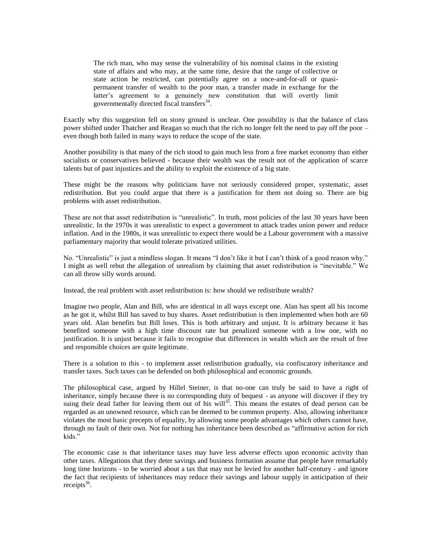The rich man, who may sense the vulnerability of his nominal claims in the existing state of affairs and who may, at the same time, desire that the range of collective or state action be restricted, can potentially agree on a once-and-for-all or quasipermanent transfer of wealth to the poor man, a transfer made in exchange for the latter's agreement to a genuinely new constitution that will overtly limit governmentally directed fiscal transfers<sup>34</sup>.

Exactly why this suggestion fell on stony ground is unclear. One possibility is that the balance of class power shifted under Thatcher and Reagan so much that the rich no longer felt the need to pay off the poor – even though both failed in many ways to reduce the scope of the state.

Another possibility is that many of the rich stood to gain much less from a free market economy than either socialists or conservatives believed - because their wealth was the result not of the application of scarce talents but of past injustices and the ability to exploit the existence of a big state.

These might be the reasons why politicians have not seriously considered proper, systematic, asset redistribution. But you could argue that there is a justification for them not doing so. There are big problems with asset redistribution.

These are not that asset redistribution is "unrealistic". In truth, most policies of the last 30 years have been unrealistic. In the 1970s it was unrealistic to expect a government to attack trades union power and reduce inflation. And in the 1980s, it was unrealistic to expect there would be a Labour government with a massive parliamentary majority that would tolerate privatized utilities.

No. "Unrealistic" is just a mindless slogan. It means "I don't like it but I can't think of a good reason why." I might as well rebut the allegation of unrealism by claiming that asset redistribution is "inevitable." We can all throw silly words around.

Instead, the real problem with asset redistribution is: how should we redistribute wealth?

Imagine two people, Alan and Bill, who are identical in all ways except one. Alan has spent all his income as he got it, whilst Bill has saved to buy shares. Asset redistribution is then implemented when both are 60 years old. Alan benefits but Bill loses. This is both arbitrary and unjust. It is arbitrary because it has benefited someone with a high time discount rate but penalized someone with a low one, with no justification. It is unjust because it fails to recognise that differences in wealth which are the result of free and responsible choices are quite legitimate.

There is a solution to this - to implement asset redistribution gradually, via confiscatory inheritance and transfer taxes. Such taxes can be defended on both philosophical and economic grounds.

The philosophical case, argued by Hillel Steiner, is that no-one can truly be said to have a right of inheritance, simply because there is no corresponding duty of bequest - as anyone will discover if they try suing their dead father for leaving them out of his will<sup>35</sup>. This means the estates of dead person can be regarded as an unowned resource, which can be deemed to be common property. Also, allowing inheritance violates the most basic precepts of equality, by allowing some people advantages which others cannot have, through no fault of their own. Not for nothing has inheritance been described as "affirmative action for rich kids<sup>"</sup>

The economic case is that inheritance taxes may have less adverse effects upon economic activity than other taxes. Allegations that they deter savings and business formation assume that people have remarkably long time horizons - to be worried about a tax that may not be levied for another half-century - and ignore the fact that recipients of inheritances may reduce their savings and labour supply in anticipation of their receipts $^{36}$ .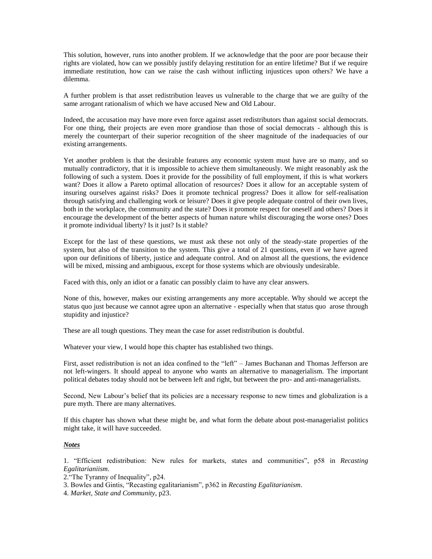This solution, however, runs into another problem. If we acknowledge that the poor are poor because their rights are violated, how can we possibly justify delaying restitution for an entire lifetime? But if we require immediate restitution, how can we raise the cash without inflicting injustices upon others? We have a dilemma.

A further problem is that asset redistribution leaves us vulnerable to the charge that we are guilty of the same arrogant rationalism of which we have accused New and Old Labour.

Indeed, the accusation may have more even force against asset redistributors than against social democrats. For one thing, their projects are even more grandiose than those of social democrats - although this is merely the counterpart of their superior recognition of the sheer magnitude of the inadequacies of our existing arrangements.

Yet another problem is that the desirable features any economic system must have are so many, and so mutually contradictory, that it is impossible to achieve them simultaneously. We might reasonably ask the following of such a system. Does it provide for the possibility of full employment, if this is what workers want? Does it allow a Pareto optimal allocation of resources? Does it allow for an acceptable system of insuring ourselves against risks? Does it promote technical progress? Does it allow for self-realisation through satisfying and challenging work or leisure? Does it give people adequate control of their own lives, both in the workplace, the community and the state? Does it promote respect for oneself and others? Does it encourage the development of the better aspects of human nature whilst discouraging the worse ones? Does it promote individual liberty? Is it just? Is it stable?

Except for the last of these questions, we must ask these not only of the steady-state properties of the system, but also of the transition to the system. This give a total of 21 questions, even if we have agreed upon our definitions of liberty, justice and adequate control. And on almost all the questions, the evidence will be mixed, missing and ambiguous, except for those systems which are obviously undesirable.

Faced with this, only an idiot or a fanatic can possibly claim to have any clear answers.

None of this, however, makes our existing arrangements any more acceptable. Why should we accept the status quo just because we cannot agree upon an alternative - especially when that status quo arose through stupidity and injustice?

These are all tough questions. They mean the case for asset redistribution is doubtful.

Whatever your view, I would hope this chapter has established two things.

First, asset redistribution is not an idea confined to the "left" – James Buchanan and Thomas Jefferson are not left-wingers. It should appeal to anyone who wants an alternative to managerialism. The important political debates today should not be between left and right, but between the pro- and anti-managerialists.

Second, New Labour's belief that its policies are a necessary response to new times and globalization is a pure myth. There are many alternatives.

If this chapter has shown what these might be, and what form the debate about post-managerialist politics might take, it will have succeeded.

### *Notes*

1. "Efficient redistribution: New rules for markets, states and communities", p58 in *Recasting Egalitarianiism*.

2."The Tyranny of Inequality", p24.

3. Bowles and Gintis, "Recasting egalitarianism", p362 in *Recasting Egalitarianism*.

4. *Market, State and Community*, p23.